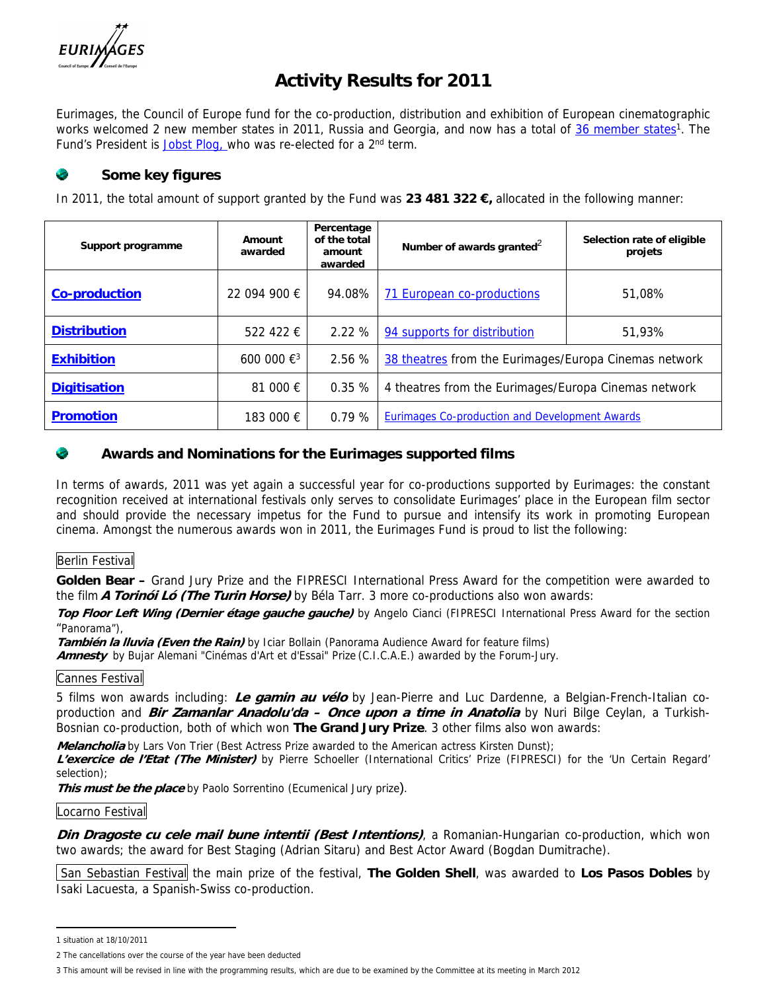

# **Activity Results for 2011**

Eurimages, the Council of Europe fund for the co-production, distribution and exhibition of European cinematographic works welcomed 2 new member states in 2011, Russia and Georgia, and now has a total of [36 member states](http://www.coe.int/t/dg4/eurimages/About/MemberStates_en.asp)<sup>1</sup>. The Fund's President is [Jobst Plog,](https://wcd.coe.int/ViewDoc.jsp?Ref=DC-PR111(2011)&Language=lanEnglish&Ver=original&Site=DC&BackColorInternet=DBDCF2&BackColorIntranet=FDC864&BackColorLogged=FDC864) who was re-elected for a 2<sup>nd</sup> term.

## **Some key figures**

In 2011, the total amount of support granted by the Fund was **23 481 322 €,** allocated in the following manner:

| Support programme   | Amount<br>awarded          | Percentage<br>of the total<br>amount<br>awarded | Number of awards granted <sup>2</sup>                 | Selection rate of eligible<br>projets |
|---------------------|----------------------------|-------------------------------------------------|-------------------------------------------------------|---------------------------------------|
| Co-production       | 22 094 900 €               | 94.08%                                          | 71 European co-productions                            | 51,08%                                |
| <b>Distribution</b> | 522 422 €                  | 2.22%                                           | 94 supports for distribution                          | 51,93%                                |
| Exhibition          | 600 000 $\xi$ <sup>3</sup> | 2.56%                                           | 38 theatres from the Eurimages/Europa Cinemas network |                                       |
| Digitisation        | 81 000 €                   | 0.35%                                           | 4 theatres from the Eurimages/Europa Cinemas network  |                                       |
| Promotion           | 183 000 €                  | 0.79%                                           | <b>Eurimages Co-production and Development Awards</b> |                                       |

#### œ **Awards and Nominations for the Eurimages supported films**

In terms of awards, 2011 was yet again a successful year for co-productions supported by Eurimages: the constant recognition received at international festivals only serves to consolidate Eurimages' place in the European film sector and should provide the necessary impetus for the Fund to pursue and intensify its work in promoting European cinema. Amongst the numerous awards won in 2011, the Eurimages Fund is proud to list the following:

### Berlin Festival

**Golden Bear –** Grand Jury Prize and the FIPRESCI International Press Award for the competition were awarded to the film *A Torinói Ló (The Turin Horse)* by Béla Tarr. 3 more co-productions also won awards:

*Top Floor Left Wing (Dernier étage gauche gauche)* by Angelo Cianci (FIPRESCI International Press Award for the section "Panorama"),

*También la lluvia (Even the Rain)* by Iciar Bollain (Panorama Audience Award for feature films)

*Amnesty* by Bujar Alemani "Cinémas d'Art et d'Essai" Prize (C.I.C.A.E.) awarded by the Forum-Jury.

#### Cannes Festival

5 films won awards including: *Le gamin au vélo* by Jean-Pierre and Luc Dardenne, a Belgian-French-Italian coproduction and *Bir Zamanlar Anadolu'da – Once upon a time in Anatolia* by Nuri Bilge Ceylan, a Turkish-Bosnian co-production, both of which won **The Grand Jury Prize**. 3 other films also won awards:

*Melancholia* by Lars Von Trier (Best Actress Prize awarded to the American actress Kirsten Dunst);

*L'exercice de l'Etat (The Minister)* by Pierre Schoeller (International Critics' Prize (FIPRESCI) for the 'Un Certain Regard' selection);

*This must be the place* by Paolo Sorrentino (Ecumenical Jury prize).

#### Locarno Festival

*Din Dragoste cu cele mail bune intentii (Best Intentions)*, a Romanian-Hungarian co-production, which won two awards; the award for Best Staging (Adrian Sitaru) and Best Actor Award (Bogdan Dumitrache).

 San Sebastian Festival the main prize of the festival, **The Golden Shell**, was awarded to **Los Pasos Dobles** by Isaki Lacuesta, a Spanish-Swiss co-production.

<sup>1</sup> situation at 18/10/2011

<sup>2</sup> The cancellations over the course of the year have been deducted

<sup>3</sup> This amount will be revised in line with the programming results, which are due to be examined by the Committee at its meeting in March 2012